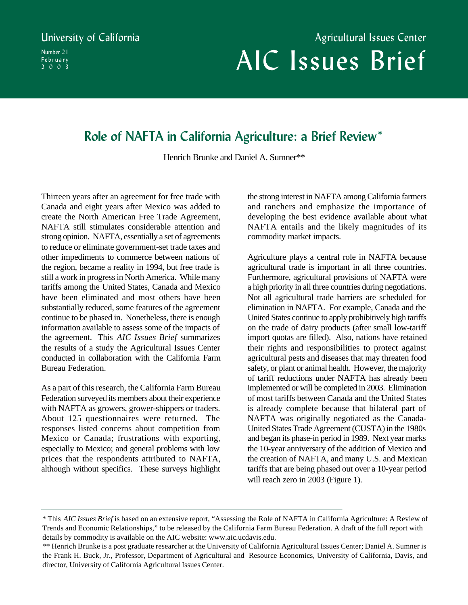Number 21 February 2003

# AIC Issues Brief University of California **Agricultural Issues Center** Agricultural Issues Center

# **Role of NAFTA in California Agriculture: a Brief Review\***

Henrich Brunke and Daniel A. Sumner\*\*

Thirteen years after an agreement for free trade with Canada and eight years after Mexico was added to create the North American Free Trade Agreement, NAFTA still stimulates considerable attention and strong opinion. NAFTA, essentially a set of agreements to reduce or eliminate government-set trade taxes and other impediments to commerce between nations of the region, became a reality in 1994, but free trade is still a work in progress in North America. While many tariffs among the United States, Canada and Mexico have been eliminated and most others have been substantially reduced, some features of the agreement continue to be phased in. Nonetheless, there is enough information available to assess some of the impacts of the agreement. This *AIC Issues Brief* summarizes the results of a study the Agricultural Issues Center conducted in collaboration with the California Farm Bureau Federation.

As a part of this research, the California Farm Bureau Federation surveyed its members about their experience with NAFTA as growers, grower-shippers or traders. About 125 questionnaires were returned. The responses listed concerns about competition from Mexico or Canada; frustrations with exporting, especially to Mexico; and general problems with low prices that the respondents attributed to NAFTA, although without specifics. These surveys highlight

the strong interest in NAFTA among California farmers and ranchers and emphasize the importance of developing the best evidence available about what NAFTA entails and the likely magnitudes of its commodity market impacts.

Agriculture plays a central role in NAFTA because agricultural trade is important in all three countries. Furthermore, agricultural provisions of NAFTA were a high priority in all three countries during negotiations. Not all agricultural trade barriers are scheduled for elimination in NAFTA. For example, Canada and the United States continue to apply prohibitively high tariffs on the trade of dairy products (after small low-tariff import quotas are filled). Also, nations have retained their rights and responsibilities to protect against agricultural pests and diseases that may threaten food safety, or plant or animal health. However, the majority of tariff reductions under NAFTA has already been implemented or will be completed in 2003. Elimination of most tariffs between Canada and the United States is already complete because that bilateral part of NAFTA was originally negotiated as the Canada-United States Trade Agreement (CUSTA) in the 1980s and began its phase-in period in 1989. Next year marks the 10-year anniversary of the addition of Mexico and the creation of NAFTA, and many U.S. and Mexican tariffs that are being phased out over a 10-year period will reach zero in 2003 (Figure 1).

<sup>\*</sup> This *AIC Issues Brief* is based on an extensive report, "Assessing the Role of NAFTA in California Agriculture: A Review of Trends and Economic Relationships," to be released by the California Farm Bureau Federation. A draft of the full report with details by commodity is available on the AIC website: www.aic.ucdavis.edu.

<sup>\*\*</sup> Henrich Brunke is a post graduate researcher at the University of California Agricultural Issues Center; Daniel A. Sumner is the Frank H. Buck, Jr., Professor, Department of Agricultural and Resource Economics, University of California, Davis, and director, University of California Agricultural Issues Center.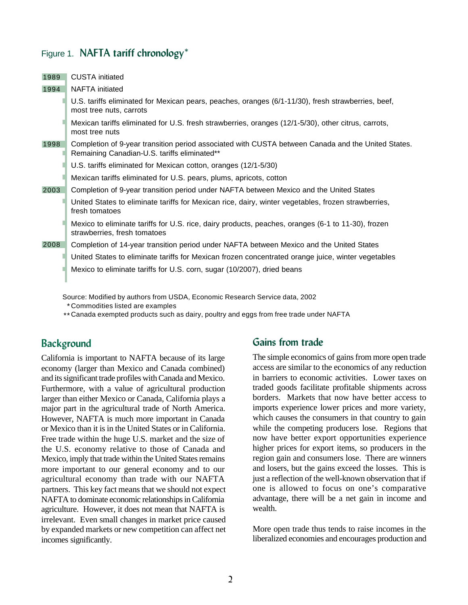### Figure 1. **NAFTA tariff chronology\***

| 1989 | CUSTA initiated                                                                                                                                    |
|------|----------------------------------------------------------------------------------------------------------------------------------------------------|
| 1994 | NAFTA initiated                                                                                                                                    |
|      | U.S. tariffs eliminated for Mexican pears, peaches, oranges (6/1-11/30), fresh strawberries, beef,<br>most tree nuts, carrots                      |
|      | Mexican tariffs eliminated for U.S. fresh strawberries, oranges (12/1-5/30), other citrus, carrots,<br>most tree nuts                              |
| 1998 | Completion of 9-year transition period associated with CUSTA between Canada and the United States.<br>Remaining Canadian-U.S. tariffs eliminated** |
|      | U.S. tariffs eliminated for Mexican cotton, oranges (12/1-5/30)                                                                                    |
|      | Mexican tariffs eliminated for U.S. pears, plums, apricots, cotton                                                                                 |
| 2003 | Completion of 9-year transition period under NAFTA between Mexico and the United States                                                            |
|      | United States to eliminate tariffs for Mexican rice, dairy, winter vegetables, frozen strawberries,<br>fresh tomatoes                              |
|      | Mexico to eliminate tariffs for U.S. rice, dairy products, peaches, oranges (6-1 to 11-30), frozen<br>strawberries, fresh tomatoes                 |
| 2008 | Completion of 14-year transition period under NAFTA between Mexico and the United States                                                           |
|      | United States to eliminate tariffs for Mexican frozen concentrated orange juice, winter vegetables                                                 |
|      | Mexico to eliminate tariffs for U.S. corn, sugar (10/2007), dried beans                                                                            |

Source: Modified by authors from USDA, Economic Research Service data, 2002

Commodities listed are examples \*

Canada exempted products such as dairy, poultry and eggs from free trade under NAFTA \*\*

## **Background**

California is important to NAFTA because of its large economy (larger than Mexico and Canada combined) and its significant trade profiles with Canada and Mexico. Furthermore, with a value of agricultural production larger than either Mexico or Canada, California plays a major part in the agricultural trade of North America. However, NAFTA is much more important in Canada or Mexico than it is in the United States or in California. Free trade within the huge U.S. market and the size of the U.S. economy relative to those of Canada and Mexico, imply that trade within the United States remains more important to our general economy and to our agricultural economy than trade with our NAFTA partners. This key fact means that we should not expect NAFTA to dominate economic relationships in California agriculture. However, it does not mean that NAFTA is irrelevant. Even small changes in market price caused by expanded markets or new competition can affect net incomes significantly.

#### **Gains from trade**

The simple economics of gains from more open trade access are similar to the economics of any reduction in barriers to economic activities. Lower taxes on traded goods facilitate profitable shipments across borders. Markets that now have better access to imports experience lower prices and more variety, which causes the consumers in that country to gain while the competing producers lose. Regions that now have better export opportunities experience higher prices for export items, so producers in the region gain and consumers lose. There are winners and losers, but the gains exceed the losses. This is just a reflection of the well-known observation that if one is allowed to focus on one's comparative advantage, there will be a net gain in income and wealth.

More open trade thus tends to raise incomes in the liberalized economies and encourages production and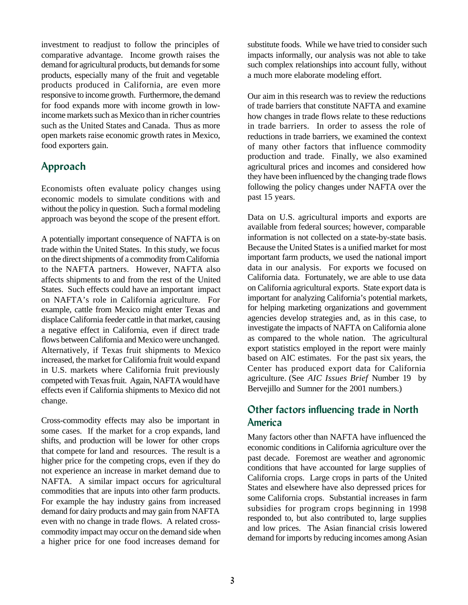investment to readjust to follow the principles of comparative advantage. Income growth raises the demand for agricultural products, but demands for some products, especially many of the fruit and vegetable products produced in California, are even more responsive to income growth. Furthermore, the demand for food expands more with income growth in lowincome markets such as Mexico than in richer countries such as the United States and Canada. Thus as more open markets raise economic growth rates in Mexico, food exporters gain.

# **Approach**

Economists often evaluate policy changes using economic models to simulate conditions with and without the policy in question. Such a formal modeling approach was beyond the scope of the present effort.

A potentially important consequence of NAFTA is on trade within the United States. In this study, we focus on the direct shipments of a commodity from California to the NAFTA partners. However, NAFTA also affects shipments to and from the rest of the United States. Such effects could have an important impact on NAFTA's role in California agriculture. For example, cattle from Mexico might enter Texas and displace California feeder cattle in that market, causing a negative effect in California, even if direct trade flows between California and Mexico were unchanged. Alternatively, if Texas fruit shipments to Mexico increased, the market for California fruit would expand in U.S. markets where California fruit previously competed with Texas fruit. Again, NAFTA would have effects even if California shipments to Mexico did not change.

Cross-commodity effects may also be important in some cases. If the market for a crop expands, land shifts, and production will be lower for other crops that compete for land and resources. The result is a higher price for the competing crops, even if they do not experience an increase in market demand due to NAFTA. A similar impact occurs for agricultural commodities that are inputs into other farm products. For example the hay industry gains from increased demand for dairy products and may gain from NAFTA even with no change in trade flows. A related crosscommodity impact may occur on the demand side when a higher price for one food increases demand for

substitute foods. While we have tried to consider such impacts informally, our analysis was not able to take such complex relationships into account fully, without a much more elaborate modeling effort.

Our aim in this research was to review the reductions of trade barriers that constitute NAFTA and examine how changes in trade flows relate to these reductions in trade barriers. In order to assess the role of reductions in trade barriers, we examined the context of many other factors that influence commodity production and trade. Finally, we also examined agricultural prices and incomes and considered how they have been influenced by the changing trade flows following the policy changes under NAFTA over the past 15 years.

Data on U.S. agricultural imports and exports are available from federal sources; however, comparable information is not collected on a state-by-state basis. Because the United States is a unified market for most important farm products, we used the national import data in our analysis. For exports we focused on California data. Fortunately, we are able to use data on California agricultural exports. State export data is important for analyzing California's potential markets, for helping marketing organizations and government agencies develop strategies and, as in this case, to investigate the impacts of NAFTA on California alone as compared to the whole nation. The agricultural export statistics employed in the report were mainly based on AIC estimates. For the past six years, the Center has produced export data for California agriculture. (See *AIC Issues Brief* Number 19 by Bervejillo and Sumner for the 2001 numbers.)

# **Other factors influencing trade in North America**

Many factors other than NAFTA have influenced the economic conditions in California agriculture over the past decade. Foremost are weather and agronomic conditions that have accounted for large supplies of California crops. Large crops in parts of the United States and elsewhere have also depressed prices for some California crops. Substantial increases in farm subsidies for program crops beginning in 1998 responded to, but also contributed to, large supplies and low prices. The Asian financial crisis lowered demand for imports by reducing incomes among Asian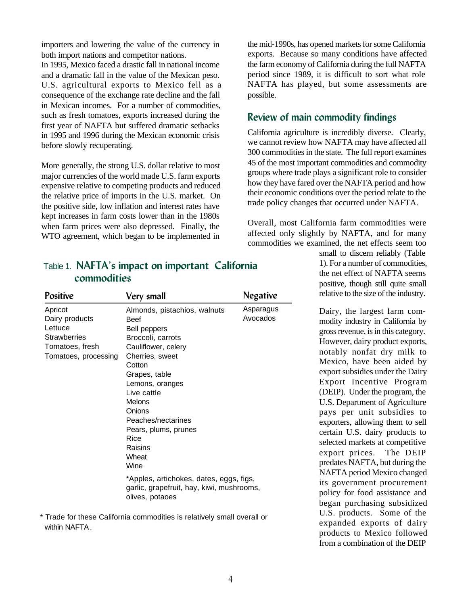importers and lowering the value of the currency in both import nations and competitor nations.

In 1995, Mexico faced a drastic fall in national income and a dramatic fall in the value of the Mexican peso. U.S. agricultural exports to Mexico fell as a consequence of the exchange rate decline and the fall in Mexican incomes. For a number of commodities, such as fresh tomatoes, exports increased during the first year of NAFTA but suffered dramatic setbacks in 1995 and 1996 during the Mexican economic crisis before slowly recuperating.

More generally, the strong U.S. dollar relative to most major currencies of the world made U.S. farm exports expensive relative to competing products and reduced the relative price of imports in the U.S. market. On the positive side, low inflation and interest rates have kept increases in farm costs lower than in the 1980s when farm prices were also depressed. Finally, the WTO agreement, which began to be implemented in

the mid-1990s, has opened markets for some California exports. Because so many conditions have affected the farm economy of California during the full NAFTA period since 1989, it is difficult to sort what role NAFTA has played, but some assessments are possible.

#### **Review of main commodity findings**

California agriculture is incredibly diverse. Clearly, we cannot review how NAFTA may have affected all 300 commodities in the state. The full report examines 45 of the most important commodities and commodity groups where trade plays a significant role to consider how they have fared over the NAFTA period and how their economic conditions over the period relate to the trade policy changes that occurred under NAFTA.

Overall, most California farm commodities were affected only slightly by NAFTA, and for many commodities we examined, the net effects seem too

#### the net effect of NAFTA seems<br>positive, though still quite small small to discern reliably (Table 1). For a number of commodities, positive, though still quite small relative to the size of the industry.

Dairy, the largest farm commodity industry in California by gross revenue, is in this category. However, dairy product exports, notably nonfat dry milk to Mexico, have been aided by export subsidies under the Dairy Export Incentive Program (DEIP). Under the program, the U.S. Department of Agriculture pays per unit subsidies to exporters, allowing them to sell certain U.S. dairy products to selected markets at competitive export prices. The DEIP predates NAFTA, but during the NAFTA period Mexico changed its government procurement policy for food assistance and began purchasing subsidized U.S. products. Some of the expanded exports of dairy products to Mexico followed from a combination of the DEIP

# Table 1. **NAFTA's impact on important California commodities**

| <b>Positive</b>                                                                                        | Very small                                                                                                                                                                                                                                                                                                                                                                                                      | <b>Negative</b>       |
|--------------------------------------------------------------------------------------------------------|-----------------------------------------------------------------------------------------------------------------------------------------------------------------------------------------------------------------------------------------------------------------------------------------------------------------------------------------------------------------------------------------------------------------|-----------------------|
| Apricot<br>Dairy products<br>Lettuce<br><b>Strawberries</b><br>Tomatoes, fresh<br>Tomatoes, processing | Almonds, pistachios, walnuts<br><b>Beef</b><br>Bell peppers<br>Broccoli, carrots<br>Cauliflower, celery<br>Cherries, sweet<br>Cotton<br>Grapes, table<br>Lemons, oranges<br>Live cattle<br><b>Melons</b><br>Onions<br>Peaches/nectarines<br>Pears, plums, prunes<br>Rice<br>Raisins<br>Wheat<br>Wine<br>*Apples, artichokes, dates, eggs, figs,<br>garlic, grapefruit, hay, kiwi, mushrooms,<br>olives, potaoes | Asparagus<br>Avocados |
|                                                                                                        |                                                                                                                                                                                                                                                                                                                                                                                                                 |                       |

\* Trade for these California commodities is relatively small overall or within NAFTA.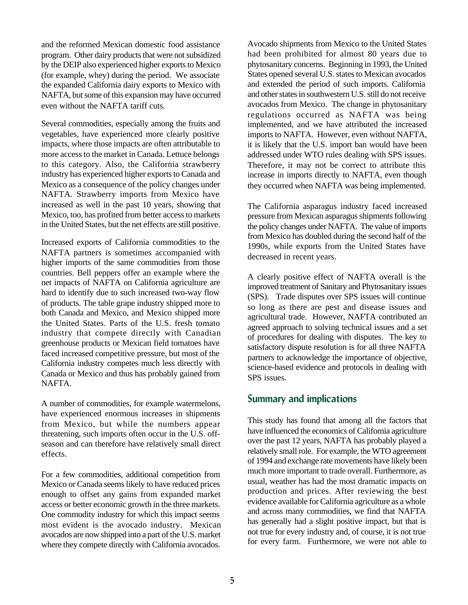and the reformed Mexican domestic food assistance program. Other dairy products that were not subsidized by the DEIP also experienced higher exports to Mexico (for example, whey) during the period. We associate the expanded California dairy exports to Mexico with NAFTA, but some of this expansion may have occurred even without the NAFTA tariff cuts.

Several commodities, especially among the fruits and vegetables, have experienced more clearly positive impacts, where those impacts are often attributable to more access to the market in Canada. Lettuce belongs to this category. Also, the California strawberry industry has experienced higher exports to Canada and Mexico as a consequence of the policy changes under NAFTA. Strawberry imports from Mexico have increased as well in the past 10 years, showing that Mexico, too, has profited from better access to markets in the United States, but the net effects are still positive.

Increased exports of California commodities to the NAFTA partners is sometimes accompanied with higher imports of the same commodities from those countries. Bell peppers offer an example where the net impacts of NAFTA on California agriculture are hard to identify due to such increased two-way flow of products. The table grape industry shipped more to both Canada and Mexico, and Mexico shipped more the United States. Parts of the U.S. fresh tomato industry that compete directly with Canadian greenhouse products or Mexican field tomatoes have faced increased competitive pressure, but most of the California industry competes much less directly with Canada or Mexico and thus has probably gained from NAFTA.

A number of commodities, for example watermelons, have experienced enormous increases in shipments from Mexico, but while the numbers appear threatening, such imports often occur in the U.S. offseason and can therefore have relatively small direct effects.

For a few commodities, additional competition from Mexico or Canada seems likely to have reduced prices enough to offset any gains from expanded market access or better economic growth in the three markets. One commodity industry for which this impact seems most evident is the avocado industry. Mexican avocados are now shipped into a part of the U.S. market where they compete directly with California avocados.

Avocado shipments from Mexico to the United States had been prohibited for almost 80 years due to phytosanitary concerns. Beginning in 1993, the United States opened several U.S. states to Mexican avocados and extended the period of such imports. California and other states in southwestern U.S. still do not receive avocados from Mexico. The change in phytosanitary regulations occurred as NAFTA was being implemented, and we have attributed the increased imports to NAFTA. However, even without NAFTA, it is likely that the U.S. import ban would have been addressed under WTO rules dealing with SPS issues. Therefore, it may not be correct to attribute this increase in imports directly to NAFTA, even though they occurred when NAFTA was being implemented.

The California asparagus industry faced increased pressure from Mexican asparagus shipments following the policy changes under NAFTA. The value of imports from Mexico has doubled during the second half of the 1990s, while exports from the United States have decreased in recent years.

A clearly positive effect of NAFTA overall is the improved treatment of Sanitary and Phytosanitary issues (SPS). Trade disputes over SPS issues will continue so long as there are pest and disease issues and agricultural trade. However, NAFTA contributed an agreed approach to solving technical issues and a set of procedures for dealing with disputes. The key to satisfactory dispute resolution is for all three NAFTA partners to acknowledge the importance of objective, science-based evidence and protocols in dealing with SPS issues.

#### **Summary and implications**

This study has found that among all the factors that have influenced the economics of California agriculture over the past 12 years, NAFTA has probably played a relatively small role. For example, the WTO agreement of 1994 and exchange rate movements have likely been much more important to trade overall. Furthermore, as usual, weather has had the most dramatic impacts on production and prices. After reviewing the best evidence available for California agriculture as a whole and across many commodities, we find that NAFTA has generally had a slight positive impact, but that is not true for every industry and, of course, it is not true for every farm. Furthermore, we were not able to